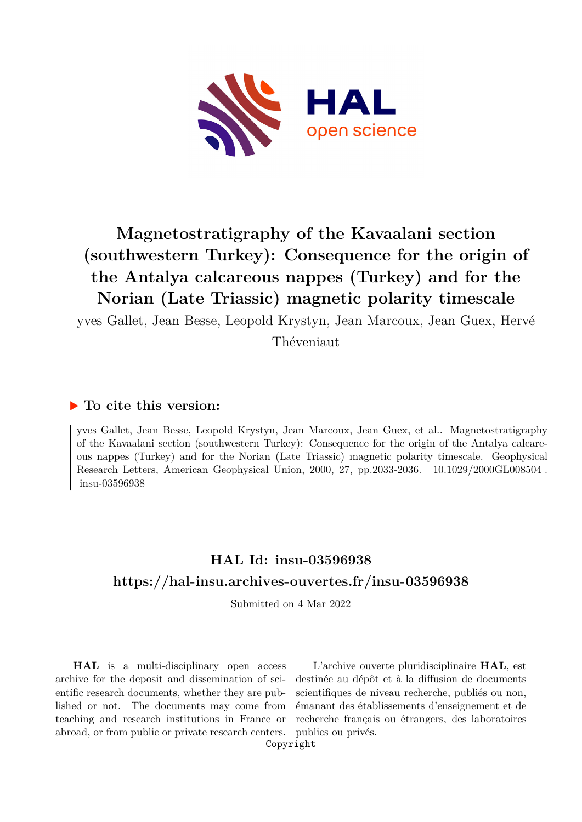

# **Magnetostratigraphy of the Kavaalani section (southwestern Turkey): Consequence for the origin of the Antalya calcareous nappes (Turkey) and for the Norian (Late Triassic) magnetic polarity timescale**

yves Gallet, Jean Besse, Leopold Krystyn, Jean Marcoux, Jean Guex, Hervé Théveniaut

### **To cite this version:**

yves Gallet, Jean Besse, Leopold Krystyn, Jean Marcoux, Jean Guex, et al.. Magnetostratigraphy of the Kavaalani section (southwestern Turkey): Consequence for the origin of the Antalya calcareous nappes (Turkey) and for the Norian (Late Triassic) magnetic polarity timescale. Geophysical Research Letters, American Geophysical Union, 2000, 27, pp.2033-2036.  $10.1029/2000$ GL008504. insu-03596938

## **HAL Id: insu-03596938 <https://hal-insu.archives-ouvertes.fr/insu-03596938>**

Submitted on 4 Mar 2022

**HAL** is a multi-disciplinary open access archive for the deposit and dissemination of scientific research documents, whether they are published or not. The documents may come from teaching and research institutions in France or abroad, or from public or private research centers.

L'archive ouverte pluridisciplinaire **HAL**, est destinée au dépôt et à la diffusion de documents scientifiques de niveau recherche, publiés ou non, émanant des établissements d'enseignement et de recherche français ou étrangers, des laboratoires publics ou privés.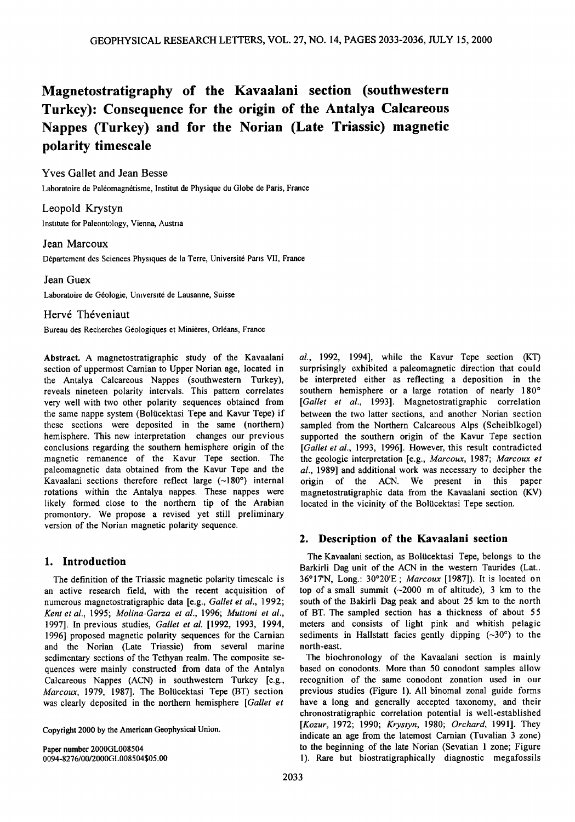### **Magnetostratigraphy of the Kavaalani section (southwestern Turkey)' Consequence for the origin of the Antalya Calcareous Nappes (Turkey) and for the Norian (Late Triassic) magnetic polarity timescale**

**Yves Gallet and Jean Besse**  Laboratoire de Paléomagnétisme, Institut de Physique du Globe de Paris, France

**Leopold Krystyn Institute for Paleontology, Vienna, Austria** 

#### **Jean Marcoux**

Département des Sciences Physiques de la Terre, Université Paris VII, France

#### **Jean Guex**

Laboratoire de Géologie, Université de Lausanne, Suisse

#### **Hervé Théveniaut**

Bureau des Recherches Géologiques et Minières, Orléans, France

**Abstract. A magnetostratigraphic study of the Kavaalani section of uppermost Carnian to Upper Norian age, located in the Antalya Calcareous Nappes (southwestern Turkey), reveals nineteen polarity intervals. This pattern correlates very well with two other polarity sequences obtained from**  the same nappe system (Bolücektasi Tepe and Kavur Tepe) if **these sections were deposited in the same (northern) hemisphere. This new interpretation changes our previous conclusions regarding the southern hemisphere origin of the magnetic remanence of the Kavur Tepe section. The paleomagnetic data obtained from the Kavur Tepe and the**  Kavaalani sections therefore reflect large (~180°) internal **rotations within the Antalya nappes. These nappes were likely formed close to the northern tip of the Arabian promontory. We propose a revised yet still preliminary version of the Norian magnetic polarity sequence.** 

#### **1. Introduction**

**The definition of the Triassic magnetic polarity timescale is an active research field, with the recent acquisition of**  numerous magnetostratigraphic data [e.g., Gallet et al., 1992; **Kent et at., 1995; Molina-Garza et at., 1996; Muttoni et at.,**  1997]. In previous studies, *Gallet et al.* [1992, 1993, 1994, **1996] proposed magnetic polarity sequences for the Carnian and the Norian (Late Triassic) from several marine sedimentary sections of the Tethyan realm. The composite sequences were mainly constructed from data of the Antalya**  Calcareous Nappes (ACN) in southwestern Turkey [e.g., Marcoux, 1979, 1987]. The Bolücektasi Tepe (BT) section was clearly deposited in the northern hemisphere [Gallet et

**Copyright 2000 by the American Geophysical Union.** 

**Paper number 2000GL008504, 0094-8276/00/2000GL008504 \$05.00**  **at., 1992, 1994], while the Kavur Tepe section (KT) surprisingly exhibited a paleomagnetic direction that could be interpreted either as reflecting a deposition in the**  southern hemisphere or a large rotation of nearly 180° [Gallet et al., 1993]. Magnetostratigraphic correlation **between the two latter sections, and another Norian section sampled from the Northern Calcareous Alps (Scheiblkogel) supported the southern origin of the Kavur Tepe section**  [Gallet et al., 1993, 1996]. However, this result contradicted **the geologic interpretation [e.g., Marcoux, 1987; Marcoux et at., 1989] and additional work was necessary to decipher the origin of the ACN. We present in this paper magnetostratigraphic data from the Kavaalani section (KV)**  located in the vicinity of the Bolücektasi Tepe section.

#### **2. Description of the Kavaalani section**

The Kavaalani section, as Bolücektasi Tepe, belongs to the **Barkirli Dag unit of the ACN in the western Taurides (Lat.: 36ø17'N, Long.: 30ø20'E; Marcoux [1987]). It is located on**  top of a small summit  $(-2000 \text{ m of altitude})$ , 3 km to the **south of the Bakirli Dag peak and about 25 km to the north of BT. The sampled section has a thickness of about 55 meters and consists of light pink and whitish pelagic**  sediments in Hallstatt facies gently dipping  $(-30^{\circ})$  to the **north-east.** 

**The biochronology of the Kavaalani section is mainly based on conodonts. More than 50 conodont samples allow recognition of the same conodont zonation used in our previous studies (Figure 1). All binomal zonal guide forms have a long and generally accepted taxonomy, and their chronostratigraphic correlation potential is well-established [Kozur, 1972; 1990; Krystyn, 1980; Orchard, 1991]. They indicate an age from the latemost Carnian (Tuvalian 3 zone) to the beginning of the late Norian (Sevatian 1 zone; Figure 1). Rare but biostratigraphically diagnostic megafossils**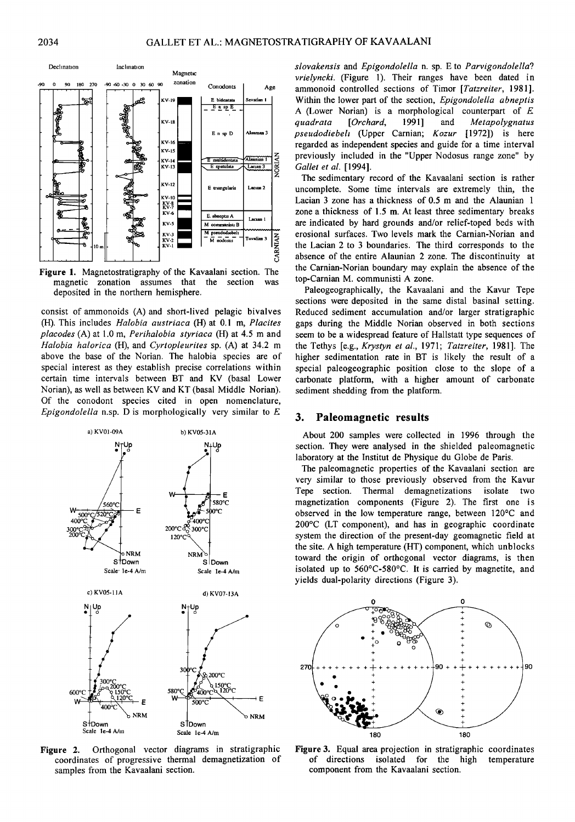

Figure 1. Magnetostratigraphy of the Kavaalani section. The magnetic zonation assumes that the section was deposited in the northern hemisphere.

consist of ammonoids (A) and short-lived pelagic bivalves (H). This includes *Halobia austriaca* (H) at 0.1 m, *Placites* placodes (A) at 1.0 m, Perihalobia styriaca (H) at 4.5 m and Halobia halorica (H), and Cyrtopleurites sp. (A) at 34.2 m above the base of the Norian. The halobia species are of special interest as they establish precise correlations within certain time intervals between BT and KV (basal Lower Norian), as well as between KV and KT (basal Middle Norian). Of the conodont species cited in open nomenclature. Epigondolella n.sp. D is morphologically very similar to  $E$ 



Orthogonal vector diagrams in stratigraphic Figure 2. coordinates of progressive thermal demagnetization of samples from the Kavaalani section.

slovakensis and Epigondolella n. sp. E to Parvigondolella? vrielyncki. (Figure 1). Their ranges have been dated in ammonoid controlled sections of Timor [Tatzreiter, 1981]. Within the lower part of the section, Epigondolella abneptis A (Lower Norian) is a morphological counterpart of  $E$ guadrata  $[Orchard,$ 1991] and Metapolygnatus pseudodiebeli (Upper Carnian; Kozur [1972]) is here regarded as independent species and guide for a time interval previously included in the "Upper Nodosus range zone" by Gallet et al. [1994].

The sedimentary record of the Kavaalani section is rather uncomplete. Some time intervals are extremely thin, the Lacian 3 zone has a thickness of 0.5 m and the Alaunian 1 zone a thickness of 1.5 m. At least three sedimentary breaks are indicated by hard grounds and/or relief-toped beds with erosional surfaces. Two levels mark the Carnian-Norian and the Lacian 2 to 3 boundaries. The third corresponds to the absence of the entire Alaunian 2 zone. The discontinuity at the Carnian-Norian boundary may explain the absence of the top-Carnian M. communisti A zone.

Paleogeographically, the Kavaalani and the Kavur Tepe sections were deposited in the same distal basinal setting. Reduced sediment accumulation and/or larger stratigraphic gaps during the Middle Norian observed in both sections seem to be a widespread feature of Hallstatt type sequences of the Tethys Je.g., Krystyn et al., 1971; Tatzreiter, 1981]. The higher sedimentation rate in BT is likely the result of a special paleogeographic position close to the slope of a carbonate platform, with a higher amount of carbonate sediment shedding from the platform.

#### 3. Paleomagnetic results

About 200 samples were collected in 1996 through the section. They were analysed in the shielded paleomagnetic laboratory at the Institut de Physique du Globe de Paris.

The paleomagnetic properties of the Kavaalani section are very similar to those previously observed from the Kavur Tepe section. Thermal demagnetizations isolate two magnetization components (Figure 2). The first one is observed in the low temperature range, between 120°C and 200°C (LT component), and has in geographic coordinate system the direction of the present-day geomagnetic field at the site. A high temperature (HT) component, which unblocks toward the origin of orthogonal vector diagrams, is then isolated up to 560°C-580°C. It is carried by magnetite, and yields dual-polarity directions (Figure 3).



Figure 3. Equal area projection in stratigraphic coordinates of directions isolated for the high temperature component from the Kavaalani section.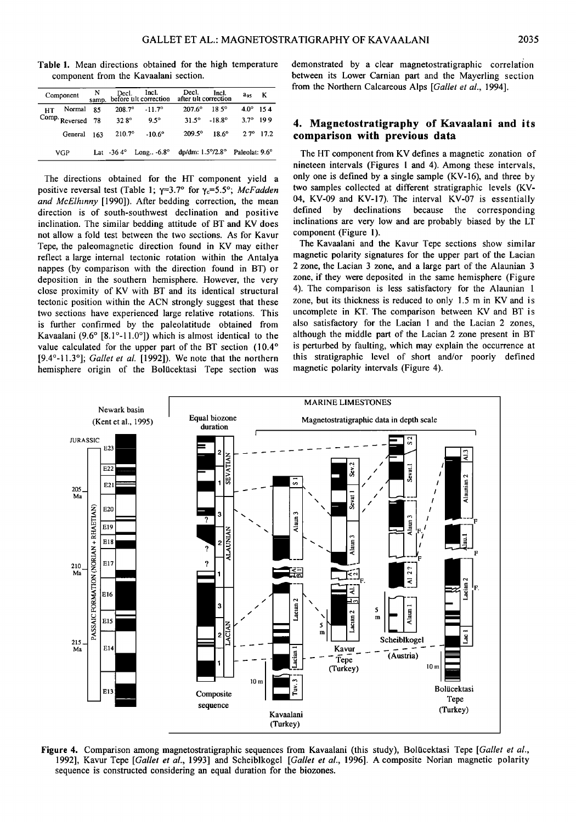| Table 1. Mean directions obtained for the high temperature<br>component from the Kavaalani section. |  |  |  |  |  |  |  |  |  |  |
|-----------------------------------------------------------------------------------------------------|--|--|--|--|--|--|--|--|--|--|

| Component |                | N<br>samp. | Decl.           | Incl.<br>before tilt correction                                          | Decl.<br>after tilt correction | Incl.           | aos            | к                  |
|-----------|----------------|------------|-----------------|--------------------------------------------------------------------------|--------------------------------|-----------------|----------------|--------------------|
| HТ        | Normal         | 85         | $208.7^{\circ}$ | $-11.7^{\circ}$                                                          | $207.6^\circ$                  | $18.5^{\circ}$  | $4.0^\circ$    | 154                |
|           | Comp. Reversed | 78         | $32.8^\circ$    | $9.5^{\circ}$                                                            | $31.5^{\circ}$                 | $-18.8^{\circ}$ | 37°            | 199                |
|           | General 163    |            | $210.7^{\circ}$ | $-10.6^{\circ}$                                                          | $209.5^{\circ}$                | $18.6^\circ$    |                | $2.7^{\circ}$ 17.2 |
| VGP       |                |            |                 | Lat $-36.4^{\circ}$ Long $-6.8^{\circ}$ dp/dm: $1.5^{\circ}/2.8^{\circ}$ |                                |                 | Paleolat: 9.6° |                    |

**The directions obtained for the HI' component yield a positive reversal test (Table 1;**  $\gamma=3.7^\circ$  **for**  $\gamma_c=5.5^\circ$ **; McFadden and McElhinny [1990]). After bedding correction, the mean direction is of south-southwest declination and positive inclination. The similar bedding attitude of BT and KV does not allow a fold test between the two sections. As for Kavur Tepe, the paleomagnetic direction found in KV may either reflect a large internal tectonic rotation within the Antalya nappes (by comparison with the direction found in BT) or deposition in the southern hemisphere. However, the very close proximity of KV with BT and its identical structural tectonic position within the ACN strongly suggest that these two sections have experienced large relative rotations. This is further confirmed by the paleolatitude obtained from**  Kavaalani (9.6° [8.1°-11.0°]) which is almost identical to the value calculated for the upper part of the BT section (10.4° **[9.4ø-11.3ø]; Gallet et al. [1992]). We note that the northern hemisphere origin of the Bolticektasi Tepe section was** 

**demonstrated by a clear magnetostratigraphic correlation between its Lower Carnian part and the Mayerling section from the Northern Calcareous Alps [Gallet et al., 1994].** 

#### **4. Magnetostratigraphy of Kavaalani and its comparison with previous data**

**The HT component from KV defines a magnetic zonation of nineteen intervals (Figures 1 and 4). Among these intervals, only one is defined by a single sample (KV-16), and three by two samples collected at different stratigraphic levels (KV-04, KV-09 and KV-17). The interval KV-07 is essentially defined by declinations because the corresponding inclinations are very low and are probably biased by the LT component (Figure 1).** 

**The Kavaalani and the Kavur Tepe sections show similar magnetic polarity signatures for the upper part of the Lacian 2 zone, the Lacian 3 zone, and a large part of the Alaunian 3 zone, if they were deposited in the same hemisphere (Figure 4). The comparison is less satisfactory for the Alaunian 1 zone, but its thickness is reduced to only 1.5 m in KV and is uncomplete in KT. The comparison between KV and BT is also satisfactory for the Lacian 1 and the Lacian 2 zones, although the middle part of the Lacian 2 zone present in BT is perturbed by faulting, which may explain the occurrence at this stratigraphic level of short and/or poorly defined magnetic polarity intervals (Figure 4).** 



Figure 4. Comparison among magnetostratigraphic sequences from Kavaalani (this study), Bolücektasi Tepe [Gallet et al., **1992], Kavur Tepe [Gallet et al., 1993] and Scheiblkogel [Gallet et al., 1996]. A composite Norian magnetic polarity sequence is constructed considering an equal duration for the biozones.**